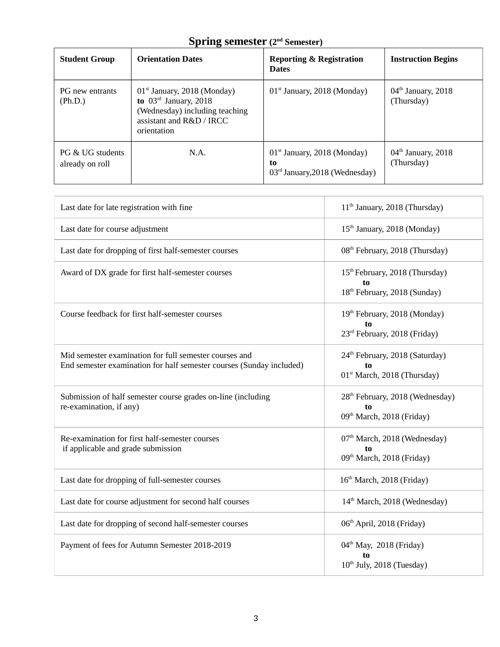# **Spring semester (2nd Semester)**

| <b>Student Group</b>                | <b>Orientation Dates</b>                                                                                                              | <b>Reporting &amp; Registration</b><br><b>Dates</b>                     | <b>Instruction Begins</b>          |
|-------------------------------------|---------------------------------------------------------------------------------------------------------------------------------------|-------------------------------------------------------------------------|------------------------------------|
| PG new entrants<br>(Ph.D.)          | $01st$ January, 2018 (Monday)<br>to $03rd$ January, 2018<br>(Wednesday) including teaching<br>assistant and R&D / IRCC<br>orientation | $01st$ January, 2018 (Monday)                                           | $04th$ January, 2018<br>(Thursday) |
| PG & UG students<br>already on roll | N.A.                                                                                                                                  | $01st$ January, 2018 (Monday)<br>to<br>$03rd$ January, 2018 (Wednesday) | $04th$ January, 2018<br>(Thursday) |

| Last date for late registration with fine                                                                                      | 11 <sup>th</sup> January, 2018 (Thursday)                                                    |
|--------------------------------------------------------------------------------------------------------------------------------|----------------------------------------------------------------------------------------------|
| Last date for course adjustment                                                                                                | 15 <sup>th</sup> January, 2018 (Monday)                                                      |
| Last date for dropping of first half-semester courses                                                                          | 08 <sup>th</sup> February, 2018 (Thursday)                                                   |
| Award of DX grade for first half-semester courses                                                                              | 15 <sup>th</sup> February, 2018 (Thursday)<br>to<br>18 <sup>th</sup> February, 2018 (Sunday) |
| Course feedback for first half-semester courses                                                                                | 19th February, 2018 (Monday)<br>to<br>23 <sup>rd</sup> February, 2018 (Friday)               |
| Mid semester examination for full semester courses and<br>End semester examination for half semester courses (Sunday included) | 24 <sup>th</sup> February, 2018 (Saturday)<br>to<br>01 <sup>st</sup> March, 2018 (Thursday)  |
| Submission of half semester course grades on-line (including<br>re-examination, if any)                                        | 28 <sup>th</sup> February, 2018 (Wednesday)<br>09 <sup>th</sup> March, 2018 (Friday)         |
| Re-examination for first half-semester courses<br>if applicable and grade submission                                           | 07 <sup>th</sup> March, 2018 (Wednesday)<br>to<br>09 <sup>th</sup> March, 2018 (Friday)      |
| Last date for dropping of full-semester courses                                                                                | 16 <sup>th</sup> March, 2018 (Friday)                                                        |
| Last date for course adjustment for second half courses                                                                        | 14 <sup>th</sup> March, 2018 (Wednesday)                                                     |
| Last date for dropping of second half-semester courses                                                                         | 06 <sup>th</sup> April, 2018 (Friday)                                                        |
| Payment of fees for Autumn Semester 2018-2019                                                                                  | 04 <sup>th</sup> May, 2018 (Friday)<br>to<br>$10th$ July, 2018 (Tuesday)                     |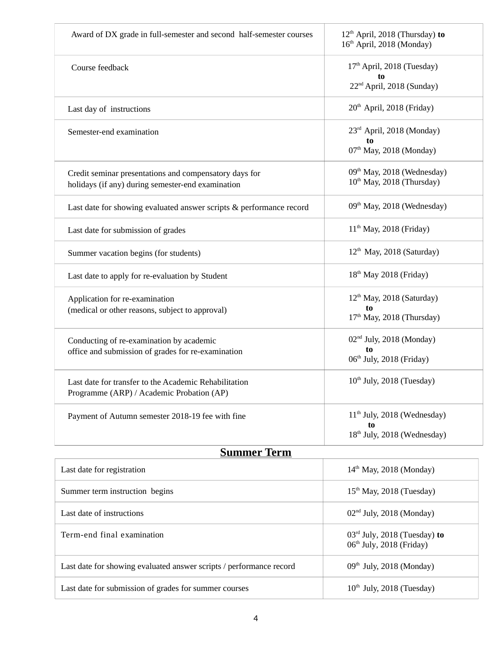|                                                                                                             | 16 <sup>th</sup> April, 2018 (Monday)                                              |
|-------------------------------------------------------------------------------------------------------------|------------------------------------------------------------------------------------|
| Course feedback                                                                                             | 17 <sup>th</sup> April, 2018 (Tuesday)<br>22 <sup>nd</sup> April, 2018 (Sunday)    |
| Last day of instructions                                                                                    | 20 <sup>th</sup> April, 2018 (Friday)                                              |
| Semester-end examination                                                                                    | 23rd April, 2018 (Monday)<br>to<br>$07th$ May, 2018 (Monday)                       |
| Credit seminar presentations and compensatory days for<br>holidays (if any) during semester-end examination | 09 <sup>th</sup> May, 2018 (Wednesday)<br>10 <sup>th</sup> May, 2018 (Thursday)    |
| Last date for showing evaluated answer scripts & performance record                                         | 09 <sup>th</sup> May, 2018 (Wednesday)                                             |
| Last date for submission of grades                                                                          | $11th$ May, 2018 (Friday)                                                          |
| Summer vacation begins (for students)                                                                       | $12th$ May, 2018 (Saturday)                                                        |
| Last date to apply for re-evaluation by Student                                                             | $18th$ May 2018 (Friday)                                                           |
| Application for re-examination<br>(medical or other reasons, subject to approval)                           | $12th$ May, 2018 (Saturday)<br>to<br>17th May, 2018 (Thursday)                     |
| Conducting of re-examination by academic<br>office and submission of grades for re-examination              | 02 <sup>nd</sup> July, 2018 (Monday)<br>to<br>06 <sup>th</sup> July, 2018 (Friday) |
| Last date for transfer to the Academic Rehabilitation<br>Programme (ARP) / Academic Probation (AP)          | $10th$ July, 2018 (Tuesday)                                                        |
| Payment of Autumn semester 2018-19 fee with fine                                                            | 11 <sup>th</sup> July, 2018 (Wednesday)<br>18 <sup>th</sup> July, 2018 (Wednesday) |
| <b>Summer Term</b>                                                                                          |                                                                                    |

| Last date for registration                                          | $14th$ May, 2018 (Monday)                                              |
|---------------------------------------------------------------------|------------------------------------------------------------------------|
| Summer term instruction begins                                      | $15th$ May, 2018 (Tuesday)                                             |
| Last date of instructions                                           | $02nd$ July, 2018 (Monday)                                             |
| Term-end final examination                                          | $03rd$ July, 2018 (Tuesday) to<br>06 <sup>th</sup> July, 2018 (Friday) |
| Last date for showing evaluated answer scripts / performance record | $09th$ July, 2018 (Monday)                                             |
| Last date for submission of grades for summer courses               | $10th$ July, 2018 (Tuesday)                                            |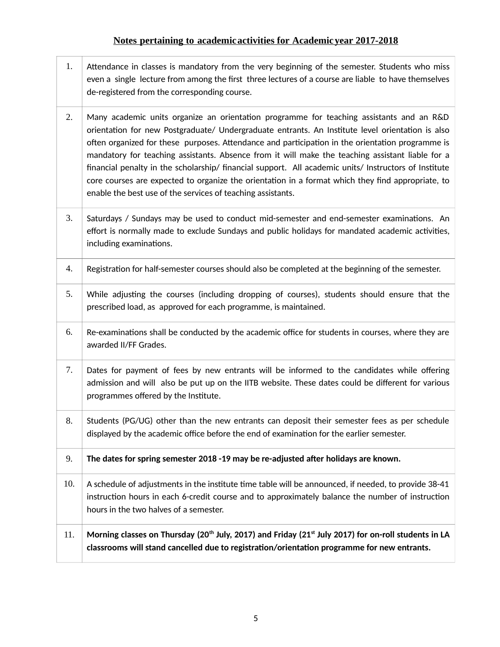#### **Notes pertaining to academic activities for Academic year 2017-2018**

- 1. Attendance in classes is mandatory from the very beginning of the semester. Students who miss even a single lecture from among the first three lectures of a course are liable to have themselves de-registered from the corresponding course.
- 2. Many academic units organize an orientation programme for teaching assistants and an R&D orientation for new Postgraduate/ Undergraduate entrants. An Institute level orientation is also often organized for these purposes. Attendance and participation in the orientation programme is mandatory for teaching assistants. Absence from it will make the teaching assistant liable for a financial penalty in the scholarship/ financial support. All academic units/ Instructors of Institute core courses are expected to organize the orientation in a format which they find appropriate, to enable the best use of the services of teaching assistants.
- 3. Saturdays / Sundays may be used to conduct mid-semester and end-semester examinations. An effort is normally made to exclude Sundays and public holidays for mandated academic activities, including examinations.
- 4. Registration for half-semester courses should also be completed at the beginning of the semester.
- 5. While adjusting the courses (including dropping of courses), students should ensure that the prescribed load, as approved for each programme, is maintained.
- 6. Re-examinations shall be conducted by the academic office for students in courses, where they are awarded II/FF Grades.
- 7. Dates for payment of fees by new entrants will be informed to the candidates while offering admission and will also be put up on the IITB website. These dates could be different for various programmes offered by the Institute.
- 8. Students (PG/UG) other than the new entrants can deposit their semester fees as per schedule displayed by the academic office before the end of examination for the earlier semester.
- 9. **The dates for spring semester 2018 -19 may be re-adjusted after holidays are known.**
- 10. A schedule of adjustments in the institute time table will be announced, if needed, to provide 38-41 instruction hours in each 6-credit course and to approximately balance the number of instruction hours in the two halves of a semester.
- 11. **Morning classes on Thursday (20th July, 2017) and Friday (21st July 2017) for on-roll students in LA classrooms will stand cancelled due to registration/orientation programme for new entrants.**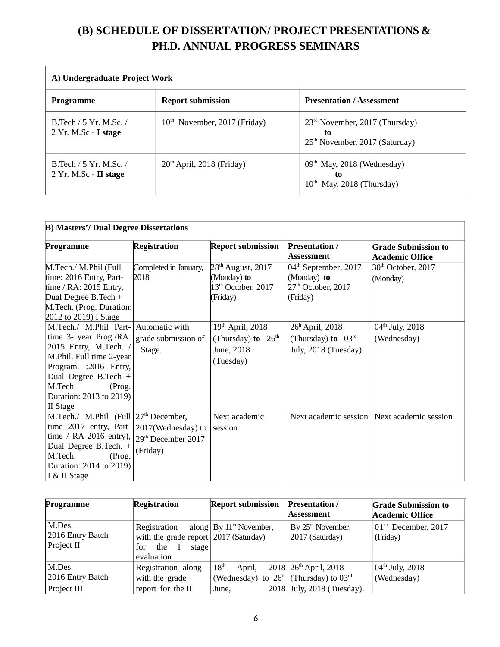## **(B) SCHEDULE OF DISSERTATION/ PROJECT PRESENTATIONS & PH.D. ANNUAL PROGRESS SEMINARS**

| A) Undergraduate Project Work                     |                                |                                                                                      |  |
|---------------------------------------------------|--------------------------------|--------------------------------------------------------------------------------------|--|
| Programme                                         | <b>Report submission</b>       | <b>Presentation / Assessment</b>                                                     |  |
| B. Tech / 5 Yr. M. Sc. /<br>2 Yr. M.Sc - I stage  | $10th$ November, 2017 (Friday) | $23rd$ November, 2017 (Thursday)<br>to<br>25 <sup>th</sup> November, 2017 (Saturday) |  |
| B. Tech / 5 Yr. M. Sc. /<br>2 Yr. M.Sc - II stage | $20th$ April, 2018 (Friday)    | $09th$ May, 2018 (Wednesday)<br>t0<br>May, 2018 (Thursday)<br>10 <sup>th</sup>       |  |

| <b>B) Masters'/ Dual Degree Dissertations</b> |                                |                                |                                |                                               |
|-----------------------------------------------|--------------------------------|--------------------------------|--------------------------------|-----------------------------------------------|
| Programme                                     | <b>Registration</b>            | <b>Report submission</b>       | Presentation /                 | <b>Grade Submission to</b>                    |
|                                               |                                |                                | Assessment                     | <b>Academic Office</b>                        |
| M.Tech./ M.Phil (Full                         | Completed in January,          | 28 <sup>th</sup> August, 2017  | $04th$ September, 2017         | 30 <sup>th</sup> October, 2017                |
| time: 2016 Entry, Part-                       | 2018                           | (Monday) to                    | (Monday) to                    | (Monday)                                      |
| time / $RA$ : 2015 Entry,                     |                                | 13 <sup>th</sup> October, 2017 | $27th$ October, 2017           |                                               |
| Dual Degree B. Tech +                         |                                | (Friday)                       | (Friday)                       |                                               |
| M.Tech. (Prog. Duration:                      |                                |                                |                                |                                               |
| 2012 to 2019) I Stage                         |                                |                                |                                |                                               |
| M.Tech./ M.Phil Part-                         | Automatic with                 | $19th$ April, 2018             | $26h$ April, 2018              | 04 <sup>th</sup> July, 2018                   |
| time 3- year Prog./RA:                        | grade submission of            | (Thursday) to $26th$           | (Thursday) to $03^{\text{rd}}$ | (Wednesday)                                   |
| 2015 Entry, M.Tech. /                         | I Stage.                       | June, 2018                     | July, 2018 (Tuesday)           |                                               |
| M.Phil. Full time 2-year                      |                                | (Tuesday)                      |                                |                                               |
| Program. : 2016 Entry,                        |                                |                                |                                |                                               |
| Dual Degree B.Tech +                          |                                |                                |                                |                                               |
| M.Tech.<br>(Prog.                             |                                |                                |                                |                                               |
| Duration: 2013 to 2019)                       |                                |                                |                                |                                               |
| <b>II</b> Stage                               |                                |                                |                                |                                               |
| M.Tech./ M.Phil $(Full   27th December,$      |                                | Next academic                  |                                | Next academic session   Next academic session |
| time $2017$ entry, Part- 2017(Wednesday) to   |                                | session                        |                                |                                               |
| time / RA 2016 entry),                        | 29 <sup>th</sup> December 2017 |                                |                                |                                               |
| Dual Degree B.Tech. +                         | (Friday)                       |                                |                                |                                               |
| M.Tech.<br>(Prog.                             |                                |                                |                                |                                               |
| Duration: 2014 to 2019)                       |                                |                                |                                |                                               |
| I & II Stage                                  |                                |                                |                                |                                               |

| Programme        | <b>Registration</b>                     | <b>Report submission</b>                   | <b>Presentation /</b><br>Assessment | <b>Grade Submission to</b>      |
|------------------|-----------------------------------------|--------------------------------------------|-------------------------------------|---------------------------------|
|                  |                                         |                                            |                                     | <b>Academic Office</b>          |
| M.Des.           | Registration                            | along $\vert$ By $11th$ November,          | By 25 <sup>th</sup> November,       | 01 <sup>st</sup> December, 2017 |
| 2016 Entry Batch | with the grade report $2017$ (Saturday) |                                            | 2017 (Saturday)                     | (Friday)                        |
| Project II       | for the<br>$\mathbf{I}$<br>stage        |                                            |                                     |                                 |
|                  | evaluation                              |                                            |                                     |                                 |
| M.Des.           | Registration along                      | 18 <sup>th</sup><br>April,                 | $2018$ 26 <sup>th</sup> April, 2018 | $04^{\text{th}}$ July, 2018     |
| 2016 Entry Batch | with the grade                          | (Wednesday) to $26th$ (Thursday) to $03rd$ |                                     | (Wednesday)                     |
| Project III      | report for the II                       | June,                                      | 2018 July, 2018 (Tuesday).          |                                 |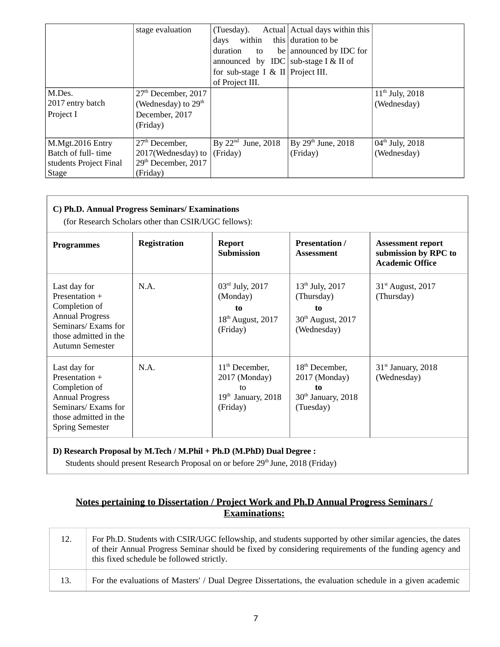|                        | stage evaluation                | (Tuesday).                           | Actual Actual days within this |                             |
|------------------------|---------------------------------|--------------------------------------|--------------------------------|-----------------------------|
|                        |                                 | within<br>days                       | this duration to be            |                             |
|                        |                                 | duration<br>to                       | be announced by IDC for        |                             |
|                        |                                 | announced by IDC sub-stage I & II of |                                |                             |
|                        |                                 | for sub-stage I & II Project III.    |                                |                             |
|                        |                                 | of Project III.                      |                                |                             |
| M.Des.                 | $27th$ December, 2017           |                                      |                                | $11^{th}$ July, 2018        |
| 2017 entry batch       | (Wednesday) to $29th$           |                                      |                                | (Wednesday)                 |
| Project I              | December, 2017                  |                                      |                                |                             |
|                        | (Friday)                        |                                      |                                |                             |
|                        |                                 |                                      |                                |                             |
| M.Mgt.2016 Entry       | 27 <sup>th</sup> December,      | By $22nd$ June, 2018                 | By $29th$ June, $2018$         | $04^{\text{th}}$ July, 2018 |
| Batch of full-time     | 2017(Wednesday) to              | (Friday)                             | (Friday)                       | (Wednesday)                 |
| students Project Final | 29 <sup>th</sup> December, 2017 |                                      |                                |                             |
| <b>Stage</b>           | (Friday)                        |                                      |                                |                             |

| <b>Programmes</b>                                                                                                                                   | <b>Registration</b> | <b>Report</b><br><b>Submission</b>                                                 | <b>Presentation /</b><br><b>Assessment</b>                                                        | <b>Assessment report</b><br>submission by RPC to<br><b>Academic Office</b> |
|-----------------------------------------------------------------------------------------------------------------------------------------------------|---------------------|------------------------------------------------------------------------------------|---------------------------------------------------------------------------------------------------|----------------------------------------------------------------------------|
| Last day for<br>Presentation +<br>Completion of<br><b>Annual Progress</b><br>Seminars/ Exams for<br>those admitted in the<br><b>Autumn Semester</b> | N.A.                | $03rd$ July, 2017<br>(Monday)<br>t <sub>0</sub><br>$18th$ August, 2017<br>(Friday) | 13 <sup>th</sup> July, 2017<br>(Thursday)<br>t <sub>0</sub><br>$30th$ August, 2017<br>(Wednesday) | 31 <sup>st</sup> August, 2017<br>(Thursday)                                |
| Last day for<br>Presentation +<br>Completion of<br><b>Annual Progress</b><br>Seminars/Exams for<br>those admitted in the<br><b>Spring Semester</b>  | N.A.                | $11th$ December,<br>2017 (Monday)<br>tΩ<br>$19th$ January, 2018<br>(Friday)        | $18th$ December,<br>2017 (Monday)<br>to<br>$30th$ January, 2018<br>(Tuesday)                      | $31st$ January, 2018<br>(Wednesday)                                        |

#### **D) Research Proposal by M.Tech / M.Phil + Ph.D (M.PhD) Dual Degree :**

Students should present Research Proposal on or before 29<sup>th</sup> June, 2018 (Friday)

#### **Notes pertaining to Dissertation / Project Work and Ph.D Annual Progress Seminars / Examinations:**

| 12. | For Ph.D. Students with CSIR/UGC fellowship, and students supported by other similar agencies, the dates<br>of their Annual Progress Seminar should be fixed by considering requirements of the funding agency and<br>this fixed schedule be followed strictly. |
|-----|-----------------------------------------------------------------------------------------------------------------------------------------------------------------------------------------------------------------------------------------------------------------|
| 13. | For the evaluations of Masters' / Dual Degree Dissertations, the evaluation schedule in a given academic                                                                                                                                                        |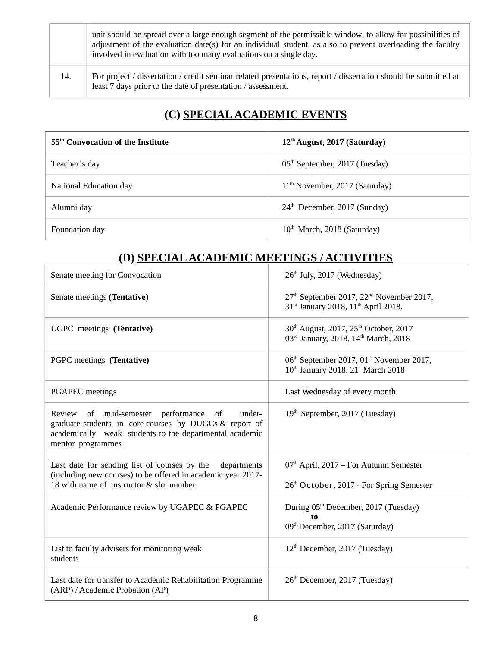|     | unit should be spread over a large enough segment of the permissible window, to allow for possibilities of<br>adjustment of the evaluation date(s) for an individual student, as also to prevent overloading the faculty<br>involved in evaluation with too many evaluations on a single day. |
|-----|-----------------------------------------------------------------------------------------------------------------------------------------------------------------------------------------------------------------------------------------------------------------------------------------------|
| 14. | For project / dissertation / credit seminar related presentations, report / dissertation should be submitted at<br>least 7 days prior to the date of presentation / assessment.                                                                                                               |

### **(C) SPECIAL ACADEMIC EVENTS**

| 55 <sup>th</sup> Convocation of the Institute | 12 <sup>th</sup> August, 2017 (Saturday)   |
|-----------------------------------------------|--------------------------------------------|
| Teacher's day                                 | 05 <sup>th</sup> September, 2017 (Tuesday) |
| National Education day                        | $11th$ November, 2017 (Saturday)           |
| Alumni day                                    | 24 <sup>th</sup> December, 2017 (Sunday)   |
| Foundation day                                | $10^{th}$ March, 2018 (Saturday)           |

### **(D) SPECIAL ACADEMIC MEETINGS / ACTIVITIES**

| Senate meeting for Convocation                                                                                                                                                            | 26 <sup>th</sup> July, 2017 (Wednesday)                                                                                        |
|-------------------------------------------------------------------------------------------------------------------------------------------------------------------------------------------|--------------------------------------------------------------------------------------------------------------------------------|
| Senate meetings (Tentative)                                                                                                                                                               | 27 <sup>th</sup> September 2017, 22 <sup>nd</sup> November 2017,<br>31st January 2018, 11 <sup>th</sup> April 2018.            |
| UGPC meetings (Tentative)                                                                                                                                                                 | 30 <sup>th</sup> August, 2017, 25 <sup>th</sup> October, 2017<br>03rd January, 2018, 14th March, 2018                          |
| PGPC meetings (Tentative)                                                                                                                                                                 | 06 <sup>th</sup> September 2017, 01 <sup>st</sup> November 2017,<br>10 <sup>th</sup> January 2018, 21 <sup>st</sup> March 2018 |
| <b>PGAPEC</b> meetings                                                                                                                                                                    | Last Wednesday of every month                                                                                                  |
| Review of mid-semester performance of<br>under-<br>graduate students in core courses by DUGCs & report of<br>academically weak students to the departmental academic<br>mentor programmes | 19 <sup>th</sup> September, 2017 (Tuesday)                                                                                     |
| Last date for sending list of courses by the<br>departments<br>(including new courses) to be offered in academic year 2017-<br>18 with name of instructor & slot number                   | $07th$ April, 2017 – For Autumn Semester<br>26 <sup>th</sup> October, 2017 - For Spring Semester                               |
| Academic Performance review by UGAPEC & PGAPEC                                                                                                                                            | During 05 <sup>th</sup> December, 2017 (Tuesday)<br>t <sub>0</sub><br>09 <sup>th</sup> December, 2017 (Saturday)               |
| List to faculty advisers for monitoring weak<br>students                                                                                                                                  | 12 <sup>th</sup> December, 2017 (Tuesday)                                                                                      |
| Last date for transfer to Academic Rehabilitation Programme<br>(ARP) / Academic Probation (AP)                                                                                            | 26 <sup>th</sup> December, 2017 (Tuesday)                                                                                      |